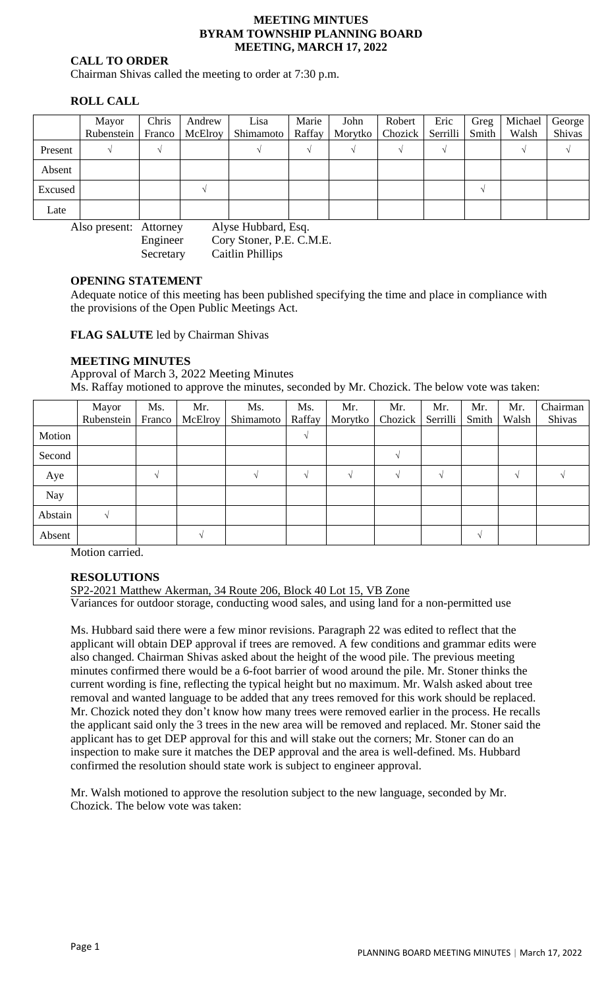#### **MEETING MINTUES BYRAM TOWNSHIP PLANNING BOARD MEETING, MARCH 17, 2022**

# **CALL TO ORDER**

Chairman Shivas called the meeting to order at 7:30 p.m.

# **ROLL CALL**

|         | Mayor      | Chris         | Andrew  | Lisa      | Marie  | John | Robert                       | Eric | Greg  | Michael | George |
|---------|------------|---------------|---------|-----------|--------|------|------------------------------|------|-------|---------|--------|
|         | Rubenstein | <b>Franco</b> | McElroy | Shimamoto | Raffay |      | Morytko   Chozick   Serrilli |      | Smith | Walsh   | Shivas |
| Present |            |               |         |           |        |      |                              |      |       |         |        |
| Absent  |            |               |         |           |        |      |                              |      |       |         |        |
| Excused |            |               |         |           |        |      |                              |      |       |         |        |
| Late    |            |               |         |           |        |      |                              |      |       |         |        |

Also present: Attorney Alyse Hubbard, Esq.

Engineer Cory Stoner, P.E. C.M.E. Secretary Caitlin Phillips

# **OPENING STATEMENT**

Adequate notice of this meeting has been published specifying the time and place in compliance with the provisions of the Open Public Meetings Act.

**FLAG SALUTE** led by Chairman Shivas

# **MEETING MINUTES**

Approval of March 3, 2022 Meeting Minutes Ms. Raffay motioned to approve the minutes, seconded by Mr. Chozick. The below vote was taken:

|            | Mayor<br>Rubenstein | Ms.<br>Franco | Mr.<br>McElroy | Ms.<br>Shimamoto | Ms.<br>Raffay | Mr.<br>Morytko <sup>1</sup> | Mr.<br>Chozick | Mr.<br>Serrilli | Mr.<br>Smith | Mr.<br>Walsh | Chairman<br>Shivas |
|------------|---------------------|---------------|----------------|------------------|---------------|-----------------------------|----------------|-----------------|--------------|--------------|--------------------|
| Motion     |                     |               |                |                  |               |                             |                |                 |              |              |                    |
| Second     |                     |               |                |                  |               |                             |                |                 |              |              |                    |
| Aye        |                     |               |                |                  |               |                             |                |                 |              |              |                    |
| <b>Nay</b> |                     |               |                |                  |               |                             |                |                 |              |              |                    |
| Abstain    |                     |               |                |                  |               |                             |                |                 |              |              |                    |
| Absent     |                     |               |                |                  |               |                             |                |                 | ٦Ι           |              |                    |

Motion carried.

# **RESOLUTIONS**

SP2-2021 Matthew Akerman, 34 Route 206, Block 40 Lot 15, VB Zone

Variances for outdoor storage, conducting wood sales, and using land for a non-permitted use

Ms. Hubbard said there were a few minor revisions. Paragraph 22 was edited to reflect that the applicant will obtain DEP approval if trees are removed. A few conditions and grammar edits were also changed. Chairman Shivas asked about the height of the wood pile. The previous meeting minutes confirmed there would be a 6-foot barrier of wood around the pile. Mr. Stoner thinks the current wording is fine, reflecting the typical height but no maximum. Mr. Walsh asked about tree removal and wanted language to be added that any trees removed for this work should be replaced. Mr. Chozick noted they don't know how many trees were removed earlier in the process. He recalls the applicant said only the 3 trees in the new area will be removed and replaced. Mr. Stoner said the applicant has to get DEP approval for this and will stake out the corners; Mr. Stoner can do an inspection to make sure it matches the DEP approval and the area is well-defined. Ms. Hubbard confirmed the resolution should state work is subject to engineer approval.

Mr. Walsh motioned to approve the resolution subject to the new language, seconded by Mr. Chozick. The below vote was taken: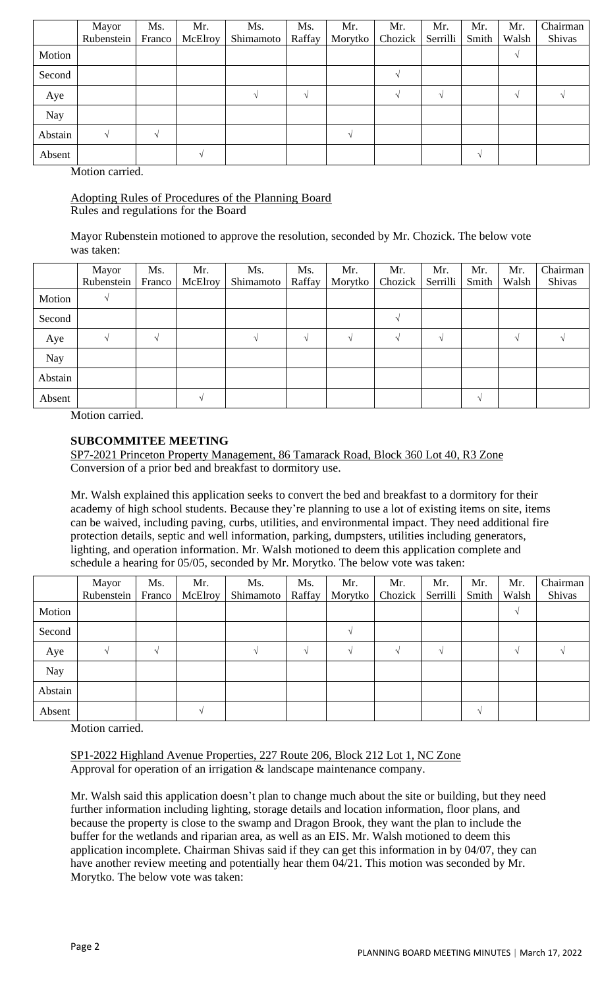|            | Mayor      | Ms.           | Mr.     | Ms.       | Ms.    | Mr.     | Mr.     | Mr.      | Mr.   | Mr.   | Chairman |
|------------|------------|---------------|---------|-----------|--------|---------|---------|----------|-------|-------|----------|
|            | Rubenstein | Franco        | McElroy | Shimamoto | Raffay | Morytko | Chozick | Serrilli | Smith | Walsh | Shivas   |
| Motion     |            |               |         |           |        |         |         |          |       | N     |          |
| Second     |            |               |         |           |        |         |         |          |       |       |          |
| Aye        |            |               |         |           |        |         |         |          |       |       |          |
| <b>Nay</b> |            |               |         |           |        |         |         |          |       |       |          |
| Abstain    |            | $\mathcal{N}$ |         |           |        |         |         |          |       |       |          |
| Absent     |            |               |         |           |        |         |         |          | N     |       |          |

Motion carried.

# Adopting Rules of Procedures of the Planning Board Rules and regulations for the Board

Mayor Rubenstein motioned to approve the resolution, seconded by Mr. Chozick. The below vote was taken:

|         | Mayor<br>Rubenstein | Ms.<br>Franco | Mr.<br>McElroy | Ms.<br>Shimamoto | Ms.<br>Raffay | Mr.<br>Morytko | Mr.<br>Chozick | Mr.<br>Serrilli | Mr.<br>Smith | Mr.<br>Walsh | Chairman<br>Shivas |
|---------|---------------------|---------------|----------------|------------------|---------------|----------------|----------------|-----------------|--------------|--------------|--------------------|
| Motion  |                     |               |                |                  |               |                |                |                 |              |              |                    |
| Second  |                     |               |                |                  |               |                |                |                 |              |              |                    |
| Aye     |                     |               |                |                  |               | $\Delta$       | ٦I             |                 |              |              |                    |
| Nay     |                     |               |                |                  |               |                |                |                 |              |              |                    |
| Abstain |                     |               |                |                  |               |                |                |                 |              |              |                    |
| Absent  |                     |               |                |                  |               |                |                |                 |              |              |                    |

Motion carried.

# **SUBCOMMITEE MEETING**

SP7-2021 Princeton Property Management, 86 Tamarack Road, Block 360 Lot 40, R3 Zone Conversion of a prior bed and breakfast to dormitory use.

Mr. Walsh explained this application seeks to convert the bed and breakfast to a dormitory for their academy of high school students. Because they're planning to use a lot of existing items on site, items can be waived, including paving, curbs, utilities, and environmental impact. They need additional fire protection details, septic and well information, parking, dumpsters, utilities including generators, lighting, and operation information. Mr. Walsh motioned to deem this application complete and schedule a hearing for 05/05, seconded by Mr. Morytko. The below vote was taken:

|         | Mayor<br>Rubenstein | Ms.<br>Franco | Mr.<br>McElroy | Ms.<br>Shimamoto | Ms.<br>Raffay | Mr.<br>Morytko | Mr.<br>Chozick | Mr.<br>Serrilli | Mr.<br>Smith | Mr.<br>Walsh | Chairman<br>Shivas |
|---------|---------------------|---------------|----------------|------------------|---------------|----------------|----------------|-----------------|--------------|--------------|--------------------|
| Motion  |                     |               |                |                  |               |                |                |                 |              |              |                    |
| Second  |                     |               |                |                  |               |                |                |                 |              |              |                    |
| Aye     |                     |               |                |                  |               |                |                |                 |              |              |                    |
| Nay     |                     |               |                |                  |               |                |                |                 |              |              |                    |
| Abstain |                     |               |                |                  |               |                |                |                 |              |              |                    |
| Absent  |                     |               |                |                  |               |                |                |                 | $\Delta$     |              |                    |

Motion carried.

SP1-2022 Highland Avenue Properties, 227 Route 206, Block 212 Lot 1, NC Zone Approval for operation of an irrigation & landscape maintenance company.

Mr. Walsh said this application doesn't plan to change much about the site or building, but they need further information including lighting, storage details and location information, floor plans, and because the property is close to the swamp and Dragon Brook, they want the plan to include the buffer for the wetlands and riparian area, as well as an EIS. Mr. Walsh motioned to deem this application incomplete. Chairman Shivas said if they can get this information in by 04/07, they can have another review meeting and potentially hear them 04/21. This motion was seconded by Mr. Morytko. The below vote was taken: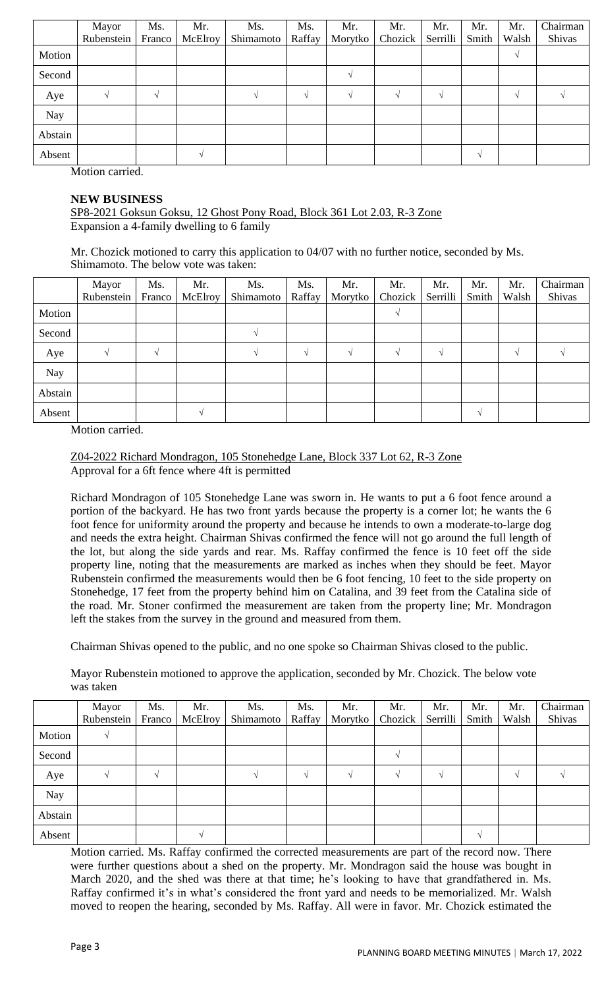|            | Mayor      | Ms.        | Mr.           | Ms.       | Ms.    | Mr.           | Mr.           | Mr.      | Mr.   | Mr.        | Chairman |
|------------|------------|------------|---------------|-----------|--------|---------------|---------------|----------|-------|------------|----------|
|            | Rubenstein | Franco     | McElroy       | Shimamoto | Raffay | Morytko       | Chozick       | Serrilli | Smith | Walsh      | Shivas   |
| Motion     |            |            |               |           |        |               |               |          |       | $\sqrt{ }$ |          |
| Second     |            |            |               |           |        | $\mathcal{N}$ |               |          |       |            |          |
| Aye        |            | $\sqrt{ }$ |               |           | $\sim$ | $\mathcal{N}$ | $\mathcal{N}$ |          |       | $\sqrt{ }$ |          |
| <b>Nay</b> |            |            |               |           |        |               |               |          |       |            |          |
| Abstain    |            |            |               |           |        |               |               |          |       |            |          |
| Absent     |            |            | $\mathcal{N}$ |           |        |               |               |          | N     |            |          |

Motion carried.

### **NEW BUSINESS**

SP8-2021 Goksun Goksu, 12 Ghost Pony Road, Block 361 Lot 2.03, R-3 Zone Expansion a 4-family dwelling to 6 family

Mr. Chozick motioned to carry this application to 04/07 with no further notice, seconded by Ms. Shimamoto. The below vote was taken:

|            | Mayor<br>Rubenstein | Ms.<br>Franco | Mr.<br><b>McElroy</b> | Ms.<br>Shimamoto | Ms.<br>Raffay | Mr.<br>Morytko | Mr.<br>Chozick | Mr.<br>Serrilli | Mr.<br>Smith      | Mr.<br>Walsh | Chairman<br>Shivas |
|------------|---------------------|---------------|-----------------------|------------------|---------------|----------------|----------------|-----------------|-------------------|--------------|--------------------|
| Motion     |                     |               |                       |                  |               |                |                |                 |                   |              |                    |
| Second     |                     |               |                       |                  |               |                |                |                 |                   |              |                    |
| Aye        |                     | $\Delta$      |                       |                  | $\Delta$      | $\sim$         |                |                 |                   |              |                    |
| <b>Nay</b> |                     |               |                       |                  |               |                |                |                 |                   |              |                    |
| Abstain    |                     |               |                       |                  |               |                |                |                 |                   |              |                    |
| Absent     |                     |               |                       |                  |               |                |                |                 | $\mathbf{\hat{}}$ |              |                    |

Motion carried.

Z04-2022 Richard Mondragon, 105 Stonehedge Lane, Block 337 Lot 62, R-3 Zone Approval for a 6ft fence where 4ft is permitted

Richard Mondragon of 105 Stonehedge Lane was sworn in. He wants to put a 6 foot fence around a portion of the backyard. He has two front yards because the property is a corner lot; he wants the 6 foot fence for uniformity around the property and because he intends to own a moderate-to-large dog and needs the extra height. Chairman Shivas confirmed the fence will not go around the full length of the lot, but along the side yards and rear. Ms. Raffay confirmed the fence is 10 feet off the side property line, noting that the measurements are marked as inches when they should be feet. Mayor Rubenstein confirmed the measurements would then be 6 foot fencing, 10 feet to the side property on Stonehedge, 17 feet from the property behind him on Catalina, and 39 feet from the Catalina side of the road. Mr. Stoner confirmed the measurement are taken from the property line; Mr. Mondragon left the stakes from the survey in the ground and measured from them.

Chairman Shivas opened to the public, and no one spoke so Chairman Shivas closed to the public.

Mayor Rubenstein motioned to approve the application, seconded by Mr. Chozick. The below vote was taken

|         | Mayor<br>Rubenstein | Ms.<br>Franco | Mr.<br>McElroy | Ms.<br>Shimamoto | Ms.<br>Raffay | Mr.<br>Morytko | Mr.<br>Chozick | Mr.<br>Serrilli | Mr.<br>Smith | Mr.<br>Walsh | Chairman<br>Shivas |
|---------|---------------------|---------------|----------------|------------------|---------------|----------------|----------------|-----------------|--------------|--------------|--------------------|
| Motion  |                     |               |                |                  |               |                |                |                 |              |              |                    |
| Second  |                     |               |                |                  |               |                |                |                 |              |              |                    |
| Aye     |                     |               |                |                  |               |                |                |                 |              |              |                    |
| Nay     |                     |               |                |                  |               |                |                |                 |              |              |                    |
| Abstain |                     |               |                |                  |               |                |                |                 |              |              |                    |
| Absent  |                     |               |                |                  |               |                |                |                 |              |              |                    |

Motion carried. Ms. Raffay confirmed the corrected measurements are part of the record now. There were further questions about a shed on the property. Mr. Mondragon said the house was bought in March 2020, and the shed was there at that time; he's looking to have that grandfathered in. Ms. Raffay confirmed it's in what's considered the front yard and needs to be memorialized. Mr. Walsh moved to reopen the hearing, seconded by Ms. Raffay. All were in favor. Mr. Chozick estimated the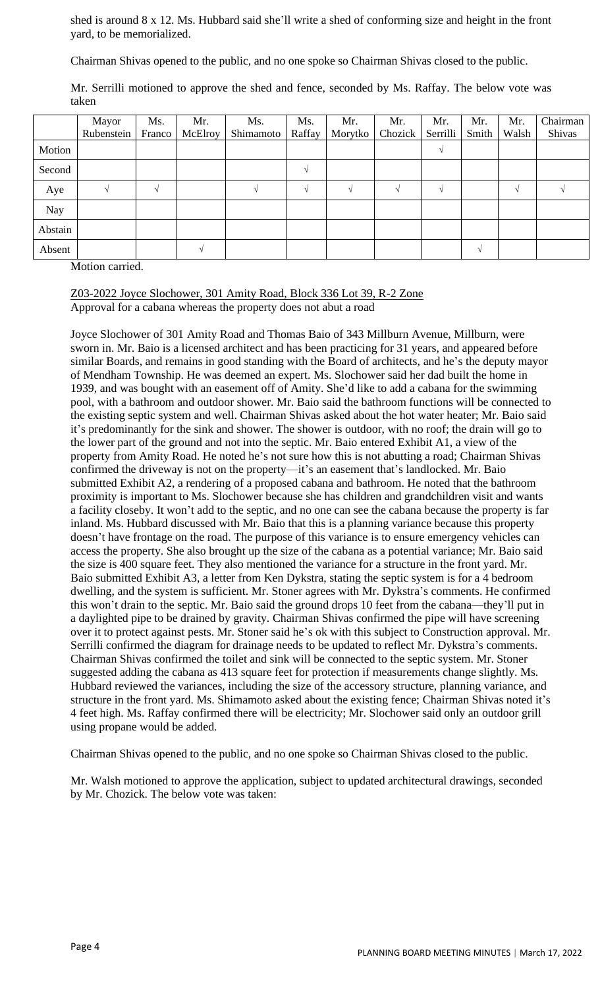shed is around 8 x 12. Ms. Hubbard said she'll write a shed of conforming size and height in the front yard, to be memorialized.

Chairman Shivas opened to the public, and no one spoke so Chairman Shivas closed to the public.

|            | Mayor<br>Rubenstein | Ms.<br>Franco | Mr.<br>McElroy | Ms.<br>Shimamoto | Ms.<br>Raffay | Mr.<br>Morytko | Mr.<br>Chozick <sup>1</sup> | Mr.<br>Serrilli | Mr.<br>Smith | Mr.<br>Walsh | Chairman<br>Shivas |
|------------|---------------------|---------------|----------------|------------------|---------------|----------------|-----------------------------|-----------------|--------------|--------------|--------------------|
| Motion     |                     |               |                |                  |               |                |                             |                 |              |              |                    |
| Second     |                     |               |                |                  | $\sim$        |                |                             |                 |              |              |                    |
| Aye        |                     | $\sim$        |                |                  | $\sim$        |                |                             |                 |              |              |                    |
| <b>Nay</b> |                     |               |                |                  |               |                |                             |                 |              |              |                    |
| Abstain    |                     |               |                |                  |               |                |                             |                 |              |              |                    |
| Absent     |                     |               |                |                  |               |                |                             |                 |              |              |                    |

Mr. Serrilli motioned to approve the shed and fence, seconded by Ms. Raffay. The below vote was taken

Motion carried.

Z03-2022 Joyce Slochower, 301 Amity Road, Block 336 Lot 39, R-2 Zone Approval for a cabana whereas the property does not abut a road

Joyce Slochower of 301 Amity Road and Thomas Baio of 343 Millburn Avenue, Millburn, were sworn in. Mr. Baio is a licensed architect and has been practicing for 31 years, and appeared before similar Boards, and remains in good standing with the Board of architects, and he's the deputy mayor of Mendham Township. He was deemed an expert. Ms. Slochower said her dad built the home in 1939, and was bought with an easement off of Amity. She'd like to add a cabana for the swimming pool, with a bathroom and outdoor shower. Mr. Baio said the bathroom functions will be connected to the existing septic system and well. Chairman Shivas asked about the hot water heater; Mr. Baio said it's predominantly for the sink and shower. The shower is outdoor, with no roof; the drain will go to the lower part of the ground and not into the septic. Mr. Baio entered Exhibit A1, a view of the property from Amity Road. He noted he's not sure how this is not abutting a road; Chairman Shivas confirmed the driveway is not on the property—it's an easement that's landlocked. Mr. Baio submitted Exhibit A2, a rendering of a proposed cabana and bathroom. He noted that the bathroom proximity is important to Ms. Slochower because she has children and grandchildren visit and wants a facility closeby. It won't add to the septic, and no one can see the cabana because the property is far inland. Ms. Hubbard discussed with Mr. Baio that this is a planning variance because this property doesn't have frontage on the road. The purpose of this variance is to ensure emergency vehicles can access the property. She also brought up the size of the cabana as a potential variance; Mr. Baio said the size is 400 square feet. They also mentioned the variance for a structure in the front yard. Mr. Baio submitted Exhibit A3, a letter from Ken Dykstra, stating the septic system is for a 4 bedroom dwelling, and the system is sufficient. Mr. Stoner agrees with Mr. Dykstra's comments. He confirmed this won't drain to the septic. Mr. Baio said the ground drops 10 feet from the cabana—they'll put in a daylighted pipe to be drained by gravity. Chairman Shivas confirmed the pipe will have screening over it to protect against pests. Mr. Stoner said he's ok with this subject to Construction approval. Mr. Serrilli confirmed the diagram for drainage needs to be updated to reflect Mr. Dykstra's comments. Chairman Shivas confirmed the toilet and sink will be connected to the septic system. Mr. Stoner suggested adding the cabana as 413 square feet for protection if measurements change slightly. Ms. Hubbard reviewed the variances, including the size of the accessory structure, planning variance, and structure in the front yard. Ms. Shimamoto asked about the existing fence; Chairman Shivas noted it's 4 feet high. Ms. Raffay confirmed there will be electricity; Mr. Slochower said only an outdoor grill using propane would be added.

Chairman Shivas opened to the public, and no one spoke so Chairman Shivas closed to the public.

Mr. Walsh motioned to approve the application, subject to updated architectural drawings, seconded by Mr. Chozick. The below vote was taken: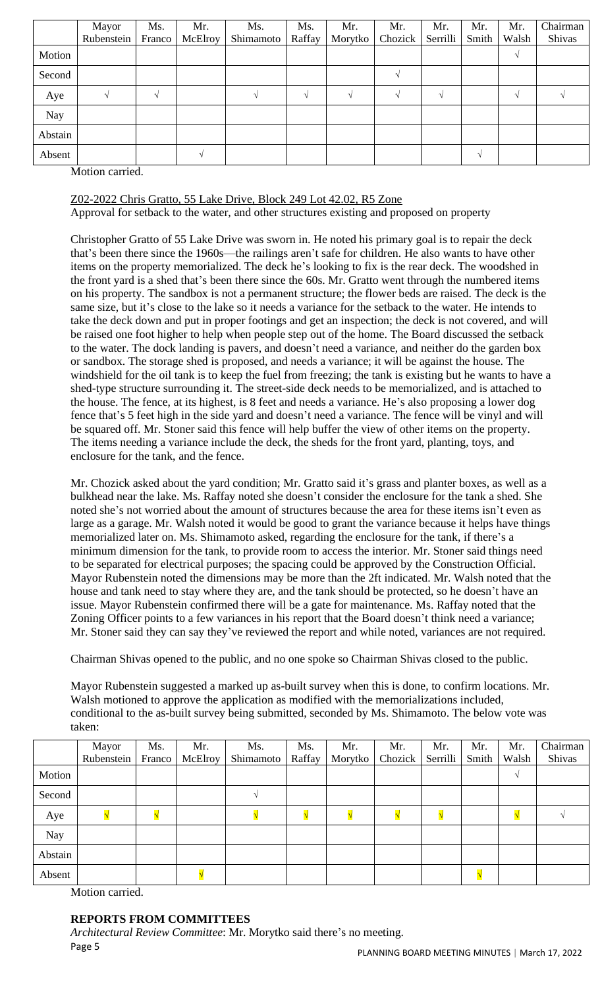|         | Mayor      | Ms.      | Mr.     | Ms.       | Ms.    | Mr.     | Mr.           | Mr.      | Mr.      | Mr.   | Chairman |
|---------|------------|----------|---------|-----------|--------|---------|---------------|----------|----------|-------|----------|
|         | Rubenstein | Franco   | McElroy | Shimamoto | Raffay | Morytko | Chozick       | Serrilli | Smith    | Walsh | Shivas   |
| Motion  |            |          |         |           |        |         |               |          |          | V     |          |
| Second  |            |          |         |           |        |         | $\mathcal{N}$ |          |          |       |          |
| Aye     |            | $\Delta$ |         |           |        |         | $\mathcal{N}$ | N        |          | V     |          |
| Nay     |            |          |         |           |        |         |               |          |          |       |          |
| Abstain |            |          |         |           |        |         |               |          |          |       |          |
| Absent  |            |          |         |           |        |         |               |          | $\Delta$ |       |          |

Motion carried.

Z02-2022 Chris Gratto, 55 Lake Drive, Block 249 Lot 42.02, R5 Zone Approval for setback to the water, and other structures existing and proposed on property

Christopher Gratto of 55 Lake Drive was sworn in. He noted his primary goal is to repair the deck that's been there since the 1960s—the railings aren't safe for children. He also wants to have other items on the property memorialized. The deck he's looking to fix is the rear deck. The woodshed in the front yard is a shed that's been there since the 60s. Mr. Gratto went through the numbered items on his property. The sandbox is not a permanent structure; the flower beds are raised. The deck is the same size, but it's close to the lake so it needs a variance for the setback to the water. He intends to take the deck down and put in proper footings and get an inspection; the deck is not covered, and will be raised one foot higher to help when people step out of the home. The Board discussed the setback to the water. The dock landing is pavers, and doesn't need a variance, and neither do the garden box or sandbox. The storage shed is proposed, and needs a variance; it will be against the house. The windshield for the oil tank is to keep the fuel from freezing; the tank is existing but he wants to have a shed-type structure surrounding it. The street-side deck needs to be memorialized, and is attached to the house. The fence, at its highest, is 8 feet and needs a variance. He's also proposing a lower dog fence that's 5 feet high in the side yard and doesn't need a variance. The fence will be vinyl and will be squared off. Mr. Stoner said this fence will help buffer the view of other items on the property. The items needing a variance include the deck, the sheds for the front yard, planting, toys, and enclosure for the tank, and the fence.

Mr. Chozick asked about the yard condition; Mr. Gratto said it's grass and planter boxes, as well as a bulkhead near the lake. Ms. Raffay noted she doesn't consider the enclosure for the tank a shed. She noted she's not worried about the amount of structures because the area for these items isn't even as large as a garage. Mr. Walsh noted it would be good to grant the variance because it helps have things memorialized later on. Ms. Shimamoto asked, regarding the enclosure for the tank, if there's a minimum dimension for the tank, to provide room to access the interior. Mr. Stoner said things need to be separated for electrical purposes; the spacing could be approved by the Construction Official. Mayor Rubenstein noted the dimensions may be more than the 2ft indicated. Mr. Walsh noted that the house and tank need to stay where they are, and the tank should be protected, so he doesn't have an issue. Mayor Rubenstein confirmed there will be a gate for maintenance. Ms. Raffay noted that the Zoning Officer points to a few variances in his report that the Board doesn't think need a variance; Mr. Stoner said they can say they've reviewed the report and while noted, variances are not required.

Chairman Shivas opened to the public, and no one spoke so Chairman Shivas closed to the public.

Mayor Rubenstein suggested a marked up as-built survey when this is done, to confirm locations. Mr. Walsh motioned to approve the application as modified with the memorializations included, conditional to the as-built survey being submitted, seconded by Ms. Shimamoto. The below vote was taken:

|         | Mayor      | Ms.    | Mr.     | Ms.       | Ms.    | Mr.     | Mr.     | Mr.      | Mr.   | Mr.   | Chairman |
|---------|------------|--------|---------|-----------|--------|---------|---------|----------|-------|-------|----------|
|         | Rubenstein | Franco | McElroy | Shimamoto | Raffay | Morytko | Chozick | Serrilli | Smith | Walsh | Shivas   |
| Motion  |            |        |         |           |        |         |         |          |       |       |          |
| Second  |            |        |         |           |        |         |         |          |       |       |          |
| Aye     |            |        |         |           |        |         |         |          |       |       |          |
| Nay     |            |        |         |           |        |         |         |          |       |       |          |
| Abstain |            |        |         |           |        |         |         |          |       |       |          |
| Absent  |            |        |         |           |        |         |         |          |       |       |          |

Motion carried.

# **REPORTS FROM COMMITTEES**

Page 5 *Architectural Review Committee*: Mr. Morytko said there's no meeting.